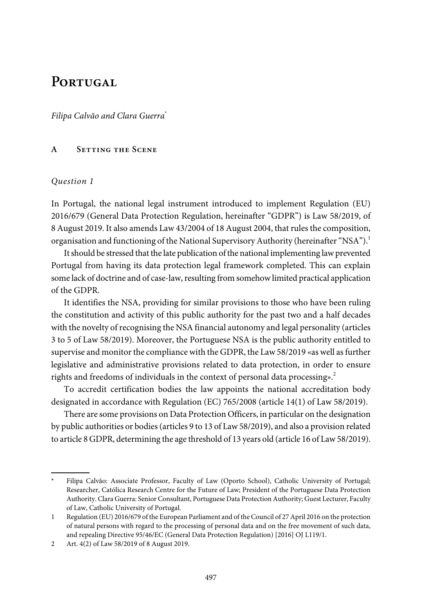# PORTUGAL

Filipa Calvão and Clara Guerra\*

#### **A Setting the Scene**

#### Question 1

In Portugal, the national legal instrument introduced to implement Regulation (EU) 2016/679 (General Data Protection Regulation, hereinafter "GDPR") is Law 58/2019, of 8 August 2019. It also amends Law 43/2004 of 18 August 2004, that rules the composition, organisation and functioning of the National Supervisory Authority (hereinafter "NSA").<sup>1</sup>

It should be stressed that the late publication of the national implementing law prevented Portugal from having its data protection legal framework completed. This can explain some lack of doctrine and of case-law, resulting from somehow limited practical application of the GDPR.

It identifies the NSA, providing for similar provisions to those who have been ruling the constitution and activity of this public authority for the past two and a half decades with the novelty of recognising the NSA financial autonomy and legal personality (articles 3 to 5 of Law 58/2019). Moreover, the Portuguese NSA is the public authority entitled to supervise and monitor the compliance with the GDPR, the Law 58/2019 «as well as further legislative and administrative provisions related to data protection, in order to ensure rights and freedoms of individuals in the context of personal data processing».<sup>2</sup>

To accredit certification bodies the law appoints the national accreditation body designated in accordance with Regulation (EC) 765/2008 (article 14(1) of Law 58/2019).

There are some provisions on Data Protection Officers, in particular on the designation by public authorities or bodies(articles 9 to 13 of Law58/2019), and also a provision related to article 8 GDPR, determining the age threshold of 13 years old (article 16 of Law58/2019).

Filipa Calvão: Associate Professor, Faculty of Law (Oporto School), Catholic University of Portugal; Researcher, Católica Research Centre for the Future of Law; President of the Portuguese Data Protection Authority. Clara Guerra: Senior Consultant, Portuguese Data ProtectionAuthority; Guest Lecturer, Faculty of Law, Catholic University of Portugal.

<sup>1</sup> Regulation (EU) 2016/679 of the European Parliament and of the Council of 27April 2016 on the protection of natural persons with regard to the processing of personal data and on the free movement of such data, and repealing Directive 95/46/EC (General Data Protection Regulation) [2016] OJ L119/1.

<sup>2</sup> Art. 4(2) of Law 58/2019 of 8 August 2019.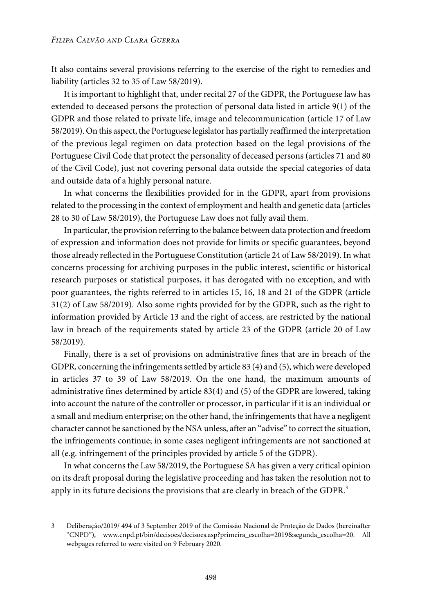It also contains several provisions referring to the exercise of the right to remedies and liability (articles 32 to 35 of Law 58/2019).

It is important to highlight that, under recital 27 of the GDPR, the Portuguese law has extended to deceased persons the protection of personal data listed in article 9(1) of the GDPR and those related to private life, image and telecommunication (article 17 of Law 58/2019). On this aspect, the Portuguese legislator has partially reaffirmed the interpretation of the previous legal regimen on data protection based on the legal provisions of the Portuguese Civil Code that protect the personality of deceased persons (articles 71 and 80 of the Civil Code), just not covering personal data outside the special categories of data and outside data of a highly personal nature.

In what concerns the flexibilities provided for in the GDPR, apart from provisions related to the processing in the context of employment and health and genetic data (articles 28 to 30 of Law 58/2019), the Portuguese Law does not fully avail them.

In particular, the provision referring to the balance between data protection and freedom of expression and information does not provide for limits or specific guarantees, beyond those already reflected in the Portuguese Constitution (article 24 of Law 58/2019). In what concerns processing for archiving purposes in the public interest, scientific or historical research purposes or statistical purposes, it has derogated with no exception, and with poor guarantees, the rights referred to in articles 15, 16, 18 and 21 of the GDPR (article 31(2) of Law 58/2019). Also some rights provided for by the GDPR, such as the right to information provided by Article 13 and the right of access, are restricted by the national law in breach of the requirements stated by article 23 of the GDPR (article 20 of Law 58/2019).

Finally, there is a set of provisions on administrative fines that are in breach of the GDPR, concerning the infringements settled by article 83 (4) and (5), which were developed in articles 37 to 39 of Law 58/2019. On the one hand, the maximum amounts of administrative fines determined by article 83(4) and (5) of the GDPR are lowered, taking into account the nature of the controller or processor, in particular if it is an individual or a small and medium enterprise; on the other hand, the infringements that have a negligent character cannot be sanctioned by the NSAunless, after an "advise" to correct the situation, the infringements continue; in some cases negligent infringements are not sanctioned at all (e.g. infringement of the principles provided by article 5 of the GDPR).

In what concerns the Law 58/2019, the Portuguese SA has given a very critical opinion on its draft proposal during the legislative proceeding and has taken the resolution not to apply in its future decisions the provisions that are clearly in breach of the GDPR.<sup>3</sup>

<sup>3</sup> Deliberação/2019/ 494 of 3 September 2019 of the Comissão Nacional de Proteção de Dados (hereinafter "CNPD"), [www.cnpd.pt/bin/decisoes/decisoes.asp?primeira\\_escolha=2019&segunda\\_escolha=20.](www.cnpd.pt/bin/decisoes/decisoes.asp?primeira_escolha=2019&segunda_escolha=20) All webpages referred to were visited on 9 February 2020.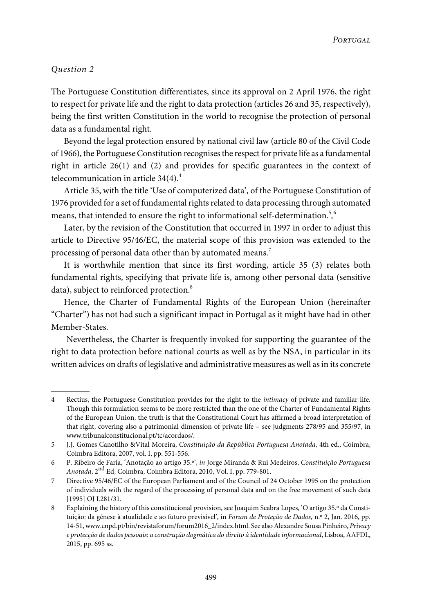# Question 2

The Portuguese Constitution differentiates, since its approval on 2 April 1976, the right to respect for private life and the right to data protection (articles 26 and 35, respectively), being the first written Constitution in the world to recognise the protection of personal data as a fundamental right.

Beyond the legal protection ensured by national civil law (article 80 of the Civil Code of 1966), the Portuguese Constitution recognises the respect for private life as a fundamental right in article  $26(1)$  and  $(2)$  and provides for specific guarantees in the context of telecommunication in article  $34(4).4$ 

Article 35, with the title 'Use of computerized data', of the Portuguese Constitution of 1976 provided for a set of fundamental rights related to data processing through automated means, that intended to ensure the right to informational self-determination.<sup>5</sup>,<sup>6</sup>

Later, by the revision of the Constitution that occurred in 1997 in order to adjust this article to Directive 95/46/EC, the material scope of this provision was extended to the processing of personal data other than by automated means.<sup>7</sup>

It is worthwhile mention that since its first wording, article 35 (3) relates both fundamental rights, specifying that private life is, among other personal data (sensitive data), subject to reinforced protection.<sup>8</sup>

Hence, the Charter of Fundamental Rights of the European Union (hereinafter "Charter") has not had such a significant impact in Portugal as it might have had in other Member-States.

Nevertheless, the Charter is frequently invoked for supporting the guarantee of the right to data protection before national courts as well as by the NSA, in particular in its written advices on drafts of legislative and administrative measures as well as in its concrete

<sup>4</sup> Rectius, the Portuguese Constitution provides for the right to the intimacy of private and familiar life. Though this formulation seems to be more restricted than the one of the Charter of Fundamental Rights of the European Union, the truth is that the Constitutional Court has affirmed a broad interpretation of that right, covering also a patrimonial dimension of private life – see judgments 278/95 and 355/97, in <www.tribunalconstitucional.pt/tc/acordaos/>.

<sup>5</sup> J.J. Gomes Canotilho &Vital Moreira, Constituição da República Portuguesa Anotada, 4th ed., Coimbra, Coimbra Editora, 2007, vol. I, pp. 551-556.

<sup>6</sup> P. Ribeiro de Faria, 'Anotação ao artigo 35.º', in Jorge Miranda & Rui Medeiros, Constituição Portuguesa A*notada*, 2<sup>nd</sup> Ed, Coimbra, Coimbra Editora, 2010, Vol. I, pp. 779-801.

<sup>7</sup> Directive 95/46/EC of the European Parliament and of the Council of 24 October 1995 on the protection of individuals with the regard of the processing of personal data and on the free movement of such data [1995] OJ L281/31.

<sup>8</sup> Explaining the history of this constitucional provision, see Joaquim Seabra Lopes, 'O artigo 35.º da Constituição: da génese à atualidade e ao futuro previsível', in Forum de Proteção de Dados, n.º 2, Jan. 2016, pp. 14-51,[www.cnpd.pt/bin/revistaforum/forum2016\\_2/index.html](www.cnpd.pt/bin/revistaforum/forum2016_2/index.html). See alsoAlexandre Sousa Pinheiro, Privacy e protecção de dados pessoais: a construção dogmática do direito à identidade informacional, Lisboa,AAFDL, 2015, pp. 695 ss.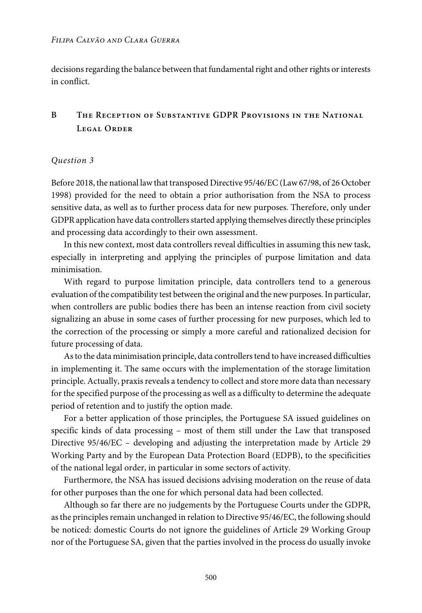#### *Filipa Calvão and Clara Guerra*

decisions regarding the balance between that fundamental right and other rights or interests in conflict.

# **B The Reception of Substantive GDPR Provisions in the National Legal Order**

# Question 3

Before 2018, the national lawthat transposed Directive 95/46/EC(Law67/98, of 26 October 1998) provided for the need to obtain a prior authorisation from the NSA to process sensitive data, as well as to further process data for new purposes. Therefore, only under GDPR application have data controllers started applying themselves directly these principles and processing data accordingly to their own assessment.

In this new context, most data controllers reveal difficulties in assuming this new task, especially in interpreting and applying the principles of purpose limitation and data minimisation.

With regard to purpose limitation principle, data controllers tend to a generous evaluation of the compatibility test between the original and the newpurposes.In particular, when controllers are public bodies there has been an intense reaction from civil society signalizing an abuse in some cases of further processing for new purposes, which led to the correction of the processing or simply a more careful and rationalized decision for future processing of data.

As to the data minimisation principle, data controllers tend to have increased difficulties in implementing it. The same occurs with the implementation of the storage limitation principle. Actually, praxis reveals a tendency to collect and store more data than necessary for the specified purpose of the processing as well as a difficulty to determine the adequate period of retention and to justify the option made.

For a better application of those principles, the Portuguese SA issued guidelines on specific kinds of data processing – most of them still under the Law that transposed Directive 95/46/EC – developing and adjusting the interpretation made by Article 29 Working Party and by the European Data Protection Board (EDPB), to the specificities of the national legal order, in particular in some sectors of activity.

Furthermore, the NSA has issued decisions advising moderation on the reuse of data for other purposes than the one for which personal data had been collected.

Although so far there are no judgements by the Portuguese Courts under the GDPR, as the principles remain unchanged in relation to Directive 95/46/EC, the following should be noticed: domestic Courts do not ignore the guidelines of Article 29 Working Group nor of the Portuguese SA, given that the parties involved in the process do usually invoke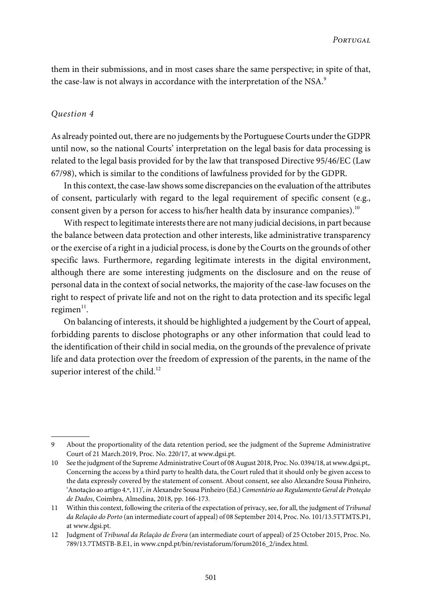them in their submissions, and in most cases share the same perspective; in spite of that, the case-law is not always in accordance with the interpretation of the NSA.<sup>9</sup>

#### Question 4

As already pointed out, there are no judgements by the Portuguese Courts under the GDPR until now, so the national Courts' interpretation on the legal basis for data processing is related to the legal basis provided for by the law that transposed Directive 95/46/EC (Law 67/98), which is similar to the conditions of lawfulness provided for by the GDPR.

In this context, the case-lawshowssome discrepancies on the evaluation of the attributes of consent, particularly with regard to the legal requirement of specific consent (e.g., consent given by a person for access to his/her health data by insurance companies).<sup>10</sup>

With respect to legitimate interests there are not many judicial decisions, in part because the balance between data protection and other interests, like administrative transparency orthe exercise of a right in a judicial process, is done by the Courts on the grounds of other specific laws. Furthermore, regarding legitimate interests in the digital environment, although there are some interesting judgments on the disclosure and on the reuse of personal data in the context of social networks, the majority of the case-law focuses on the right to respect of private life and not on the right to data protection and its specific legal regimen $^{\rm l1}.$ 

On balancing of interests, it should be highlighted a judgement by the Court of appeal, forbidding parents to disclose photographs or any other information that could lead to the identification of their child in social media, on the grounds of the prevalence of private life and data protection over the freedom of expression of the parents, in the name of the superior interest of the child.<sup>12</sup>

<sup>9</sup> About the proportionality of the data retention period, see the judgment of the Supreme Administrative Court of 21 March.2019, Proc. No. 220/17, at [www.dgsi.pt.](www.dgsi.pt)

<sup>10</sup> See the judgment of the Supreme Administrative Court of 08 August 2018, Proc. No. 0394/18, at [www.dgsi.pt,](www.dgsi.pt). Concerning the access by a third party to health data, the Court ruled that it should only be given access to the data expressly covered by the statement of consent. About consent, see also Alexandre Sousa Pinheiro, 'Anotação ao artigo 4.º, 11)', inAlexandre Sousa Pinheiro (Ed.)Comentário ao RegulamentoGeral de Proteção de Dados, Coimbra, Almedina, 2018, pp. 166-173.

<sup>11</sup> Within this context, following the criteria of the expectation of privacy,see, for all, the judgment of Tribunal da Relação do Porto (an intermediate court of appeal) of 08 September 2014, Proc. No. 101/13.5TTMTS.P1, at <www.dgsi.pt>.

<sup>12</sup> Judgment of Tribunal da Relação de Évora (an intermediate court of appeal) of 25 October 2015, Proc. No. 789/13.7TMSTB-B.E1, in [www.cnpd.pt/bin/revistaforum/forum2016\\_2/index.html](www.cnpd.pt/bin/revistaforum/forum2016_2/index.html).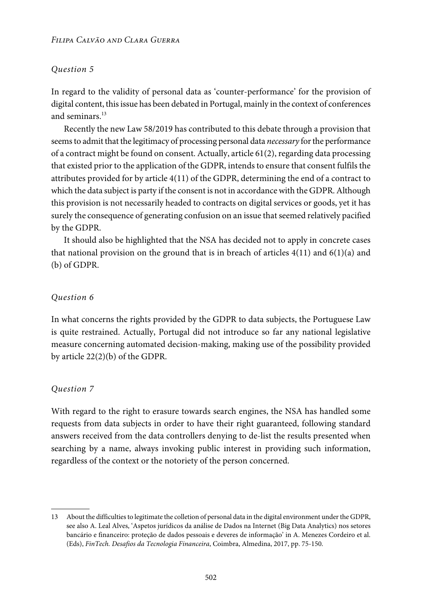#### *Filipa Calvão and Clara Guerra*

# Question 5

In regard to the validity of personal data as 'counter-performance' for the provision of digital content, thisissue has been debated in Portugal, mainly in the context of conferences and seminars.<sup>13</sup>

Recently the new Law 58/2019 has contributed to this debate through a provision that seems to admit that the legitimacy of processing personal data *necessary* for the performance of a contract might be found on consent. Actually, article 61(2), regarding data processing that existed prior to the application of the GDPR, intends to ensure that consent fulfils the attributes provided for by article 4(11) of the GDPR, determining the end of a contract to which the data subject is party if the consent is not in accordance with the GDPR. Although this provision is not necessarily headed to contracts on digital services or goods, yet it has surely the consequence of generating confusion on an issue that seemed relatively pacified by the GDPR.

It should also be highlighted that the NSA has decided not to apply in concrete cases that national provision on the ground that is in breach of articles  $4(11)$  and  $6(1)(a)$  and (b) of GDPR.

# Question 6

In what concerns the rights provided by the GDPR to data subjects, the Portuguese Law is quite restrained. Actually, Portugal did not introduce so far any national legislative measure concerning automated decision-making, making use of the possibility provided by article 22(2)(b) of the GDPR.

# Question 7

With regard to the right to erasure towards search engines, the NSA has handled some requests from data subjects in order to have their right guaranteed, following standard answers received from the data controllers denying to de-list the results presented when searching by a name, always invoking public interest in providing such information, regardless of the context or the notoriety of the person concerned.

<sup>13</sup> About the difficultiesto legitimate the colletion of personal data in the digital environment underthe GDPR, see also A. Leal Alves, 'Aspetos jurídicos da análise de Dados na Internet (Big Data Analytics) nos setores bancário e financeiro: proteção de dados pessoais e deveres de informação' in A. Menezes Cordeiro et al. (Eds), FinTech. Desafios da Tecnologia Financeira, Coimbra, Almedina, 2017, pp. 75-150.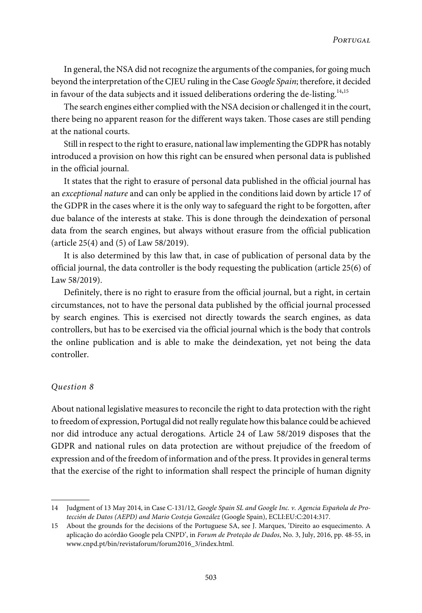In general, the NSA did not recognize the arguments of the companies, for going much beyond the interpretation of the CJEU ruling in the Case Google Spain; therefore, it decided in favour of the data subjects and it issued deliberations ordering the de-listing.<sup>14,15</sup>

The search engines either complied with the NSA decision or challenged it in the court, there being no apparent reason for the different ways taken. Those cases are still pending at the national courts.

Still in respect to the right to erasure, national lawimplementing the GDPR has notably introduced a provision on how this right can be ensured when personal data is published in the official journal.

It states that the right to erasure of personal data published in the official journal has an exceptional nature and can only be applied in the conditions laid down by article 17 of the GDPR in the cases where it is the only way to safeguard the right to be forgotten, after due balance of the interests at stake. This is done through the deindexation of personal data from the search engines, but always without erasure from the official publication (article 25(4) and (5) of Law 58/2019).

It is also determined by this law that, in case of publication of personal data by the official journal, the data controller is the body requesting the publication (article 25(6) of Law 58/2019).

Definitely, there is no right to erasure from the official journal, but a right, in certain circumstances, not to have the personal data published by the official journal processed by search engines. This is exercised not directly towards the search engines, as data controllers, but has to be exercised via the official journal which is the body that controls the online publication and is able to make the deindexation, yet not being the data controller.

#### Question 8

About national legislative measures to reconcile the right to data protection with the right to freedom of expression, Portugal did not really regulate how this balance could be achieved nor did introduce any actual derogations. Article 24 of Law 58/2019 disposes that the GDPR and national rules on data protection are without prejudice of the freedom of expression and of the freedom of information and of the press.It providesin general terms that the exercise of the right to information shall respect the principle of human dignity

<sup>14</sup> Judgment of 13 May 2014, in Case C-131/12, Google Spain SL and Google Inc. v. Agencia Española de Protección de Datos (AEPD) and Mario Costeja González (Google Spain), ECLI:EU:C:2014:317.

<sup>15</sup> About the grounds for the decisions of the Portuguese SA, see J. Marques, 'Direito ao esquecimento. A aplicação do acórdão Google pela CNPD', in Forum de Proteção de Dados, No. 3, July, 2016, pp. 48-55, in [www.cnpd.pt/bin/revistaforum/forum2016\\_3/index.html.](www.cnpd.pt/bin/revistaforum/forum2016_3/index.html)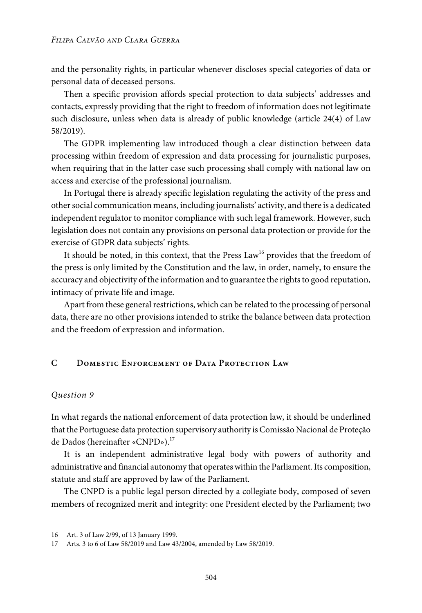and the personality rights, in particular whenever discloses special categories of data or personal data of deceased persons.

Then a specific provision affords special protection to data subjects' addresses and contacts, expressly providing that the right to freedom of information does not legitimate such disclosure, unless when data is already of public knowledge (article 24(4) of Law 58/2019).

The GDPR implementing law introduced though a clear distinction between data processing within freedom of expression and data processing for journalistic purposes, when requiring that in the latter case such processing shall comply with national law on access and exercise of the professional journalism.

In Portugal there is already specific legislation regulating the activity of the press and othersocial communication means, including journalists' activity, and there is a dedicated independent regulator to monitor compliance with such legal framework. However, such legislation does not contain any provisions on personal data protection or provide for the exercise of GDPR data subjects' rights.

It should be noted, in this context, that the Press Law<sup>16</sup> provides that the freedom of the press is only limited by the Constitution and the law, in order, namely, to ensure the accuracy and objectivity of the information and to guarantee the rights to good reputation, intimacy of private life and image.

Apart from these general restrictions, which can be related to the processing of personal data, there are no other provisions intended to strike the balance between data protection and the freedom of expression and information.

# **C Domestic Enforcement of Data Protection Law**

#### Question 9

In what regards the national enforcement of data protection law, it should be underlined that the Portuguese data protection supervisory authority isComissão Nacional de Proteção de Dados (hereinafter «CNPD»).<sup>17</sup>

It is an independent administrative legal body with powers of authority and administrative and financial autonomy that operates within the Parliament. Its composition, statute and staff are approved by law of the Parliament.

The CNPD is a public legal person directed by a collegiate body, composed of seven members of recognized merit and integrity: one President elected by the Parliament; two

<sup>16</sup> Art. 3 of Law 2/99, of 13 January 1999.

<sup>17</sup> Arts. 3 to 6 of Law 58/2019 and Law 43/2004, amended by Law 58/2019.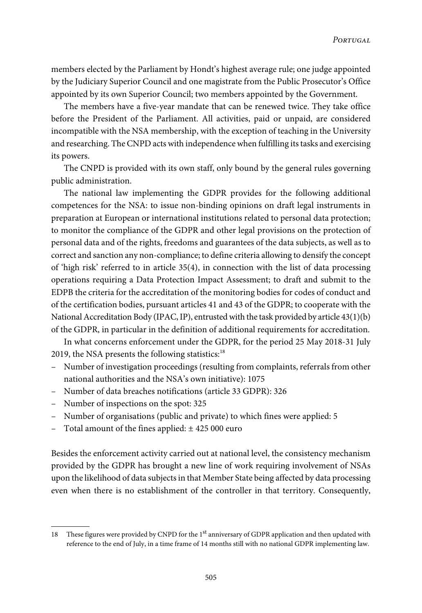members elected by the Parliament by Hondt's highest average rule; one judge appointed by the Judiciary Superior Council and one magistrate from the Public Prosecutor's Office appointed by its own Superior Council; two members appointed by the Government.

The members have a five-year mandate that can be renewed twice. They take office before the President of the Parliament. All activities, paid or unpaid, are considered incompatible with the NSA membership, with the exception of teaching in the University and researching. The CNPD actswith independencewhen fulfilling itstasks and exercising its powers.

The CNPD is provided with its own staff, only bound by the general rules governing public administration.

The national law implementing the GDPR provides for the following additional competences for the NSA: to issue non-binding opinions on draft legal instruments in preparation at European or international institutions related to personal data protection; to monitor the compliance of the GDPR and other legal provisions on the protection of personal data and of the rights, freedoms and guarantees of the data subjects, as well as to correct and sanction any non-compliance; to define criteria allowing to densify the concept of 'high risk' referred to in article 35(4), in connection with the list of data processing operations requiring a Data Protection Impact Assessment; to draft and submit to the EDPB the criteria for the accreditation of the monitoring bodies for codes of conduct and of the certification bodies, pursuant articles 41 and 43 of the GDPR; to cooperate with the National Accreditation Body (IPAC, IP), entrusted with the task provided by article  $43(1)(b)$ of the GDPR, in particular in the definition of additional requirements for accreditation.

In what concerns enforcement under the GDPR, for the period 25 May 2018-31 July 2019, the NSA presents the following statistics:<sup>18</sup>

- Number of investigation proceedings (resulting from complaints, referrals from other national authorities and the NSA's own initiative): 1075
- Number of data breaches notifications (article 33 GDPR): 326
- Number of inspections on the spot: 325
- Number of organisations (public and private) to which fines were applied: 5
- Total amount of the fines applied:  $\pm$  425 000 euro

Besides the enforcement activity carried out at national level, the consistency mechanism provided by the GDPR has brought a new line of work requiring involvement of NSAs upon the likelihood of data subjectsin that Member State being affected by data processing even when there is no establishment of the controller in that territory. Consequently,

<sup>18</sup> These figures were provided by CNPD for the 1<sup>st</sup> anniversary of GDPR application and then updated with reference to the end of July, in a time frame of 14 months still with no national GDPR implementing law.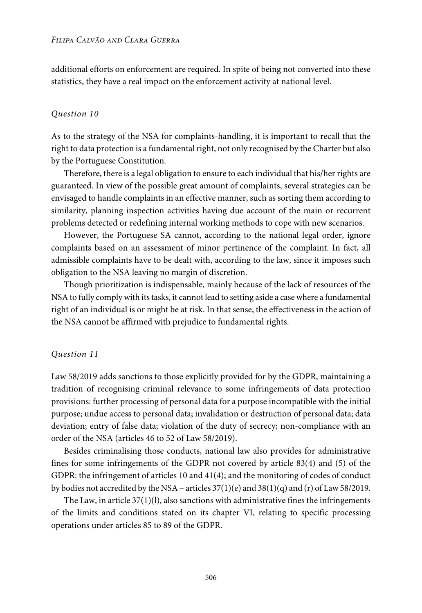additional efforts on enforcement are required. In spite of being not converted into these statistics, they have a real impact on the enforcement activity at national level.

#### Question 10

As to the strategy of the NSA for complaints-handling, it is important to recall that the right to data protection is a fundamental right, not only recognised by the Charter but also by the Portuguese Constitution.

Therefore, there is a legal obligation to ensure to each individual that his/her rights are guaranteed. In view of the possible great amount of complaints, several strategies can be envisaged to handle complaints in an effective manner, such as sorting them according to similarity, planning inspection activities having due account of the main or recurrent problems detected or redefining internal working methods to cope with new scenarios.

However, the Portuguese SA cannot, according to the national legal order, ignore complaints based on an assessment of minor pertinence of the complaint. In fact, all admissible complaints have to be dealt with, according to the law, since it imposes such obligation to the NSA leaving no margin of discretion.

Though prioritization is indispensable, mainly because of the lack of resources of the NSAto fully complywith itstasks, it cannot lead to setting aside a casewhere a fundamental right of an individual is or might be at risk. In that sense, the effectiveness in the action of the NSA cannot be affirmed with prejudice to fundamental rights.

#### Question 11

Law 58/2019 adds sanctions to those explicitly provided for by the GDPR, maintaining a tradition of recognising criminal relevance to some infringements of data protection provisions: further processing of personal data for a purpose incompatible with the initial purpose; undue access to personal data; invalidation or destruction of personal data; data deviation; entry of false data; violation of the duty of secrecy; non-compliance with an order of the NSA (articles 46 to 52 of Law 58/2019).

Besides criminalising those conducts, national law also provides for administrative fines for some infringements of the GDPR not covered by article 83(4) and (5) of the GDPR: the infringement of articles 10 and 41(4); and the monitoring of codes of conduct by bodies not accredited by the NSA – articles  $37(1)(e)$  and  $38(1)(q)$  and (r) of Law 58/2019.

The Law, in article  $37(1)(l)$ , also sanctions with administrative fines the infringements of the limits and conditions stated on its chapter VI, relating to specific processing operations under articles 85 to 89 of the GDPR.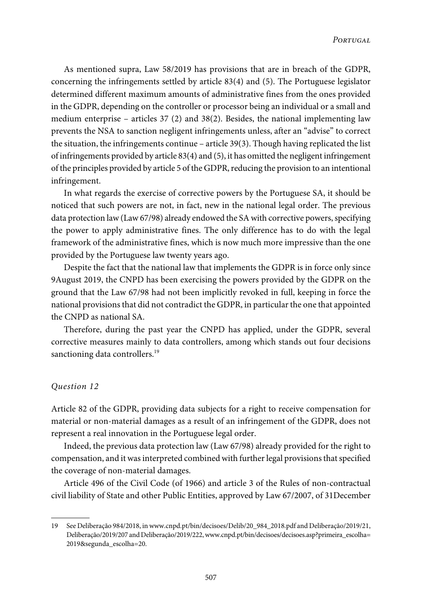As mentioned supra, Law 58/2019 has provisions that are in breach of the GDPR, concerning the infringements settled by article 83(4) and (5). The Portuguese legislator determined different maximum amounts of administrative fines from the ones provided in the GDPR, depending on the controller or processor being an individual or a small and medium enterprise – articles 37 (2) and 38(2). Besides, the national implementing law prevents the NSA to sanction negligent infringements unless, after an "advise" to correct the situation, the infringements continue – article 39(3). Though having replicated the list of infringements provided by article 83(4) and (5), it has omitted the negligent infringement of the principles provided by article 5 of the GDPR, reducing the provision to an intentional infringement.

In what regards the exercise of corrective powers by the Portuguese SA, it should be noticed that such powers are not, in fact, new in the national legal order. The previous data protection law (Law 67/98) already endowed the SA with corrective powers, specifying the power to apply administrative fines. The only difference has to do with the legal framework of the administrative fines, which is now much more impressive than the one provided by the Portuguese law twenty years ago.

Despite the fact that the national law that implements the GDPR is in force only since 9August 2019, the CNPD has been exercising the powers provided by the GDPR on the ground that the Law 67/98 had not been implicitly revoked in full, keeping in force the national provisionsthat did not contradict the GDPR, in particularthe one that appointed the CNPD as national SA.

Therefore, during the past year the CNPD has applied, under the GDPR, several corrective measures mainly to data controllers, among which stands out four decisions sanctioning data controllers.<sup>19</sup>

#### Question 12

Article 82 of the GDPR, providing data subjects for a right to receive compensation for material or non-material damages as a result of an infringement of the GDPR, does not represent a real innovation in the Portuguese legal order.

Indeed, the previous data protection law (Law 67/98) already provided for the right to compensation, and it was interpreted combined with further legal provisions that specified the coverage of non-material damages.

Article 496 of the Civil Code (of 1966) and article 3 of the Rules of non-contractual civil liability of State and other Public Entities, approved by Law 67/2007, of 31December

<sup>19</sup> See Deliberação 984/2018, in[www.cnpd.pt/bin/decisoes/Delib/20\\_984\\_2018.pdf](www.cnpd.pt/bin/decisoes/Delib/20_984_2018.pdf) and Deliberação/2019/21, Deliberação/2019/207 andDeliberação/2019/222,[www.cnpd.pt/bin/decisoes/decisoes.asp?primeira\\_escolha=](www.cnpd.pt/bin/decisoes/decisoes.asp?primeira_escolha=2019&segunda_escolha=20) [2019&segunda\\_escolha=20](www.cnpd.pt/bin/decisoes/decisoes.asp?primeira_escolha=2019&segunda_escolha=20).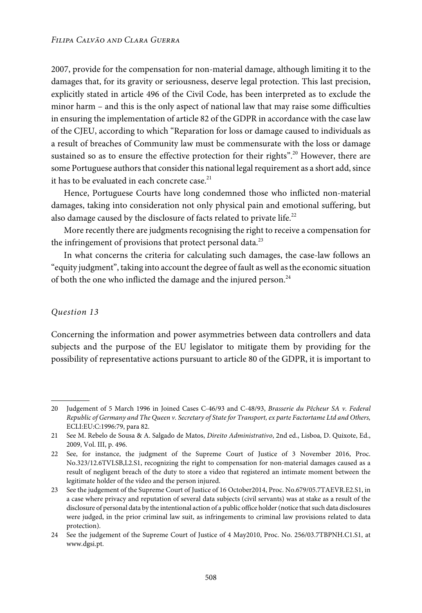2007, provide for the compensation for non-material damage, although limiting it to the damages that, for its gravity or seriousness, deserve legal protection. This last precision, explicitly stated in article 496 of the Civil Code, has been interpreted as to exclude the minor harm – and this is the only aspect of national law that may raise some difficulties in ensuring the implementation of article 82 of the GDPR in accordance with the case law of the CJEU, according to which "Reparation for loss or damage caused to individuals as a result of breaches of Community law must be commensurate with the loss or damage sustained so as to ensure the effective protection for their rights". <sup>20</sup> However, there are some Portuguese authors that consider this national legal requirement as a short add, since it has to be evaluated in each concrete case.<sup>21</sup>

Hence, Portuguese Courts have long condemned those who inflicted non-material damages, taking into consideration not only physical pain and emotional suffering, but also damage caused by the disclosure of facts related to private life.<sup>22</sup>

More recently there are judgments recognising the right to receive a compensation for the infringement of provisions that protect personal data.<sup>23</sup>

In what concerns the criteria for calculating such damages, the case-law follows an "equity judgment", taking into account the degree of fault as well asthe economic situation of both the one who inflicted the damage and the injured person. $^{24}$ 

# Question 13

Concerning the information and power asymmetries between data controllers and data subjects and the purpose of the EU legislator to mitigate them by providing for the possibility of representative actions pursuant to article 80 of the GDPR, it is important to

<sup>20</sup> Judgement of 5 March 1996 in Joined Cases C-46/93 and C-48/93, Brasserie du Pêcheur SA v. Federal Republic of Germany and The Queen v. Secretary of State for Transport, ex parte Factortame Ltd and Others, ECLI:EU:C:1996:79, para 82.

<sup>21</sup> See M. Rebelo de Sousa & A. Salgado de Matos, Direito Administrativo, 2nd ed., Lisboa, D. Quixote, Ed., 2009, Vol. III, p. 496.

<sup>22</sup> See, for instance, the judgment of the Supreme Court of Justice of 3 November 2016, Proc. No.323/12.6TVLSB,L2.S1, recognizing the right to compensation for non-material damages caused as a result of negligent breach of the duty to store a video that registered an intimate moment between the legitimate holder of the video and the person injured.

<sup>23</sup> See the judgement of the Supreme Court of Justice of 16 October2014, Proc. No.679/05.7TAEVR.E2.S1, in a case where privacy and reputation of several data subjects (civil servants) was at stake as a result of the disclosure of personal data by the intentional action of a public office holder(notice thatsuch data disclosures were judged, in the prior criminal law suit, as infringements to criminal law provisions related to data protection).

<sup>24</sup> See the judgement of the Supreme Court of Justice of 4 May2010, Proc. No. 256/03.7TBPNH.C1.S1, at <www.dgsi.pt>.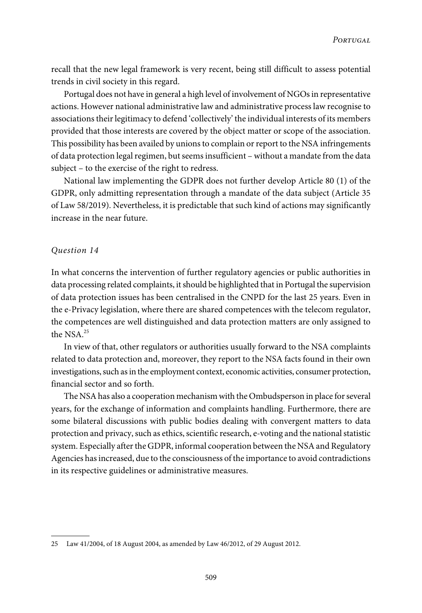recall that the new legal framework is very recent, being still difficult to assess potential trends in civil society in this regard.

Portugal does not have in general a high level of involvement of NGOs in representative actions. However national administrative law and administrative process law recognise to associations their legitimacy to defend 'collectively' the individual interests of its members provided that those interests are covered by the object matter or scope of the association. This possibility has been availed by unions to complain or report to the NSA infringements of data protection legal regimen, but seems insufficient – without a mandate from the data subject – to the exercise of the right to redress.

National law implementing the GDPR does not further develop Article 80 (1) of the GDPR, only admitting representation through a mandate of the data subject (Article 35 of Law 58/2019). Nevertheless, it is predictable that such kind of actions may significantly increase in the near future.

#### Question 14

In what concerns the intervention of further regulatory agencies or public authorities in data processing related complaints, it should be highlighted that in Portugal the supervision of data protection issues has been centralised in the CNPD for the last 25 years. Even in the e-Privacy legislation, where there are shared competences with the telecom regulator, the competences are well distinguished and data protection matters are only assigned to the NSA.<sup>25</sup>

In view of that, other regulators or authorities usually forward to the NSA complaints related to data protection and, moreover, they report to the NSA facts found in their own investigations, such as in the employment context, economic activities, consumer protection, financial sector and so forth.

The NSA has also a cooperation mechanism with the Ombudsperson in place for several years, for the exchange of information and complaints handling. Furthermore, there are some bilateral discussions with public bodies dealing with convergent matters to data protection and privacy, such as ethics, scientific research, e-voting and the national statistic system. Especially after the GDPR, informal cooperation between the NSA and Regulatory Agencies hasincreased, due to the consciousness of the importance to avoid contradictions in its respective guidelines or administrative measures.

<sup>25</sup> Law 41/2004, of 18 August 2004, as amended by Law 46/2012, of 29 August 2012.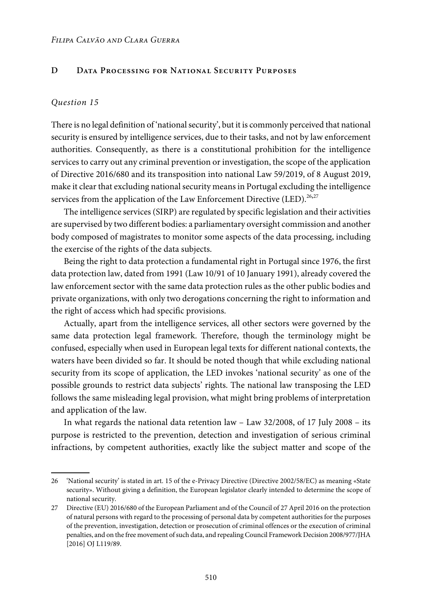# **D Data Processing for National Security Purposes**

#### Question 15

There is no legal definition of 'national security', but it is commonly perceived that national security is ensured by intelligence services, due to their tasks, and not by law enforcement authorities. Consequently, as there is a constitutional prohibition for the intelligence services to carry out any criminal prevention or investigation, the scope of the application of Directive 2016/680 and its transposition into national Law 59/2019, of 8 August 2019, make it clear that excluding national security means in Portugal excluding the intelligence services from the application of the Law Enforcement Directive (LED).<sup>26,27</sup>

The intelligence services (SIRP) are regulated by specific legislation and their activities are supervised by two different bodies: a parliamentary oversight commission and another body composed of magistrates to monitor some aspects of the data processing, including the exercise of the rights of the data subjects.

Being the right to data protection a fundamental right in Portugal since 1976, the first data protection law, dated from 1991 (Law 10/91 of 10 January 1991), already covered the law enforcement sector with the same data protection rules as the other public bodies and private organizations, with only two derogations concerning the right to information and the right of access which had specific provisions.

Actually, apart from the intelligence services, all other sectors were governed by the same data protection legal framework. Therefore, though the terminology might be confused, especially when used in European legal texts for different national contexts, the waters have been divided so far. It should be noted though that while excluding national security from its scope of application, the LED invokes 'national security' as one of the possible grounds to restrict data subjects' rights. The national law transposing the LED follows the same misleading legal provision, what might bring problems of interpretation and application of the law.

In what regards the national data retention law – Law 32/2008, of 17 July 2008 – its purpose is restricted to the prevention, detection and investigation of serious criminal infractions, by competent authorities, exactly like the subject matter and scope of the

<sup>26</sup> 'National security' is stated in art. 15 of the e-Privacy Directive (Directive 2002/58/EC) as meaning «State security». Without giving a definition, the European legislator clearly intended to determine the scope of national security.

<sup>27</sup> Directive (EU) 2016/680 of the European Parliament and of the Council of 27 April 2016 on the protection of natural persons with regard to the processing of personal data by competent authorities for the purposes of the prevention, investigation, detection or prosecution of criminal offences or the execution of criminal penalties, and on the free movement of such data, and repealing Council Framework Decision 2008/977/JHA [2016] OJ L119/89.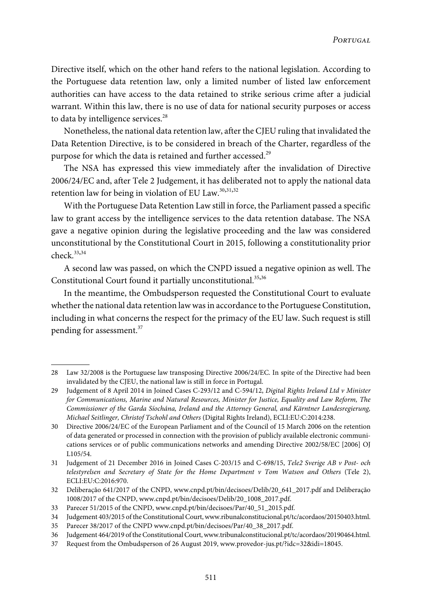Directive itself, which on the other hand refers to the national legislation. According to the Portuguese data retention law, only a limited number of listed law enforcement authorities can have access to the data retained to strike serious crime after a judicial warrant. Within this law, there is no use of data for national security purposes or access to data by intelligence services.<sup>28</sup>

Nonetheless, the national data retention law, after the CJEU ruling that invalidated the Data Retention Directive, is to be considered in breach of the Charter, regardless of the purpose for which the data is retained and further accessed.<sup>29</sup>

The NSA has expressed this view immediately after the invalidation of Directive 2006/24/EC and, after Tele 2 Judgement, it has deliberated not to apply the national data retention law for being in violation of EU Law.  $30,31,32$ 

With the Portuguese Data Retention Law still in force, the Parliament passed a specific law to grant access by the intelligence services to the data retention database. The NSA gave a negative opinion during the legislative proceeding and the law was considered unconstitutional by the Constitutional Court in 2015, following a constitutionality prior check.<sup>33</sup>,<sup>34</sup>

A second law was passed, on which the CNPD issued a negative opinion as well. The Constitutional Court found it partially unconstitutional.<sup>35,36</sup>

In the meantime, the Ombudsperson requested the Constitutional Court to evaluate whether the national data retention law was in accordance to the Portuguese Constitution, including in what concerns the respect for the primacy of the EU law. Such request is still pending for assessment.<sup>37</sup>

<sup>28</sup> Law 32/2008 is the Portuguese law transposing Directive 2006/24/EC. In spite of the Directive had been invalidated by the CJEU, the national law is still in force in Portugal.

<sup>29</sup> Judgement of 8 April 2014 in Joined Cases C-293/12 and C-594/12, Digital Rights Ireland Ltd v Minister for Communications, Marine and Natural Resources, Minister for Justice, Equality and Law Reform, The Commissioner of the Garda Síochána, Ireland and the Attorney General, and Kärntner Landesregierung, Michael Seitlinger, Christof Tschohl and Others (Digital Rights Ireland), ECLI:EU:C:2014:238.

<sup>30</sup> Directive 2006/24/EC of the European Parliament and of the Council of 15 March 2006 on the retention of data generated or processed in connection with the provision of publicly available electronic communications services or of public communications networks and amending Directive 2002/58/EC [2006] OJ L105/54.

<sup>31</sup> Judgement of 21 December 2016 in Joined Cases C-203/15 and C-698/15, Tele2 Sverige AB v Post- och telestyrelsen and Secretary of State for the Home Department v Tom Watson and Others (Tele 2), ECLI:EU:C:2016:970.

<sup>32</sup> Deliberação 641/2017 of the CNPD, [www.cnpd.pt/bin/decisoes/Delib/20\\_641\\_2017.pdf](www.cnpd.pt/bin/decisoes/Delib/20_641_2017.pdf) and Deliberação 1008/2017 of the CNPD, [www.cnpd.pt/bin/decisoes/Delib/20\\_1008\\_2017.pdf](www.cnpd.pt/bin/decisoes/Delib/20_1008_2017.pdf).

<sup>33</sup> Parecer 51/2015 of the CNPD, [www.cnpd.pt/bin/decisoes/Par/40\\_51\\_2015.pdf.](www.cnpd.pt/bin/decisoes/Par/40_51_2015.pdf)

<sup>34</sup> Judgement 403/2015 of theConstitutionalCourt,<www.ribunalconstitucional.pt/tc/acordaos/20150403.html>.

<sup>35</sup> Parecer 38/2017 of the CNPD [www.cnpd.pt/bin/decisoes/Par/40\\_38\\_2017.pdf.](www.cnpd.pt/bin/decisoes/Par/40_38_2017.pdf)

<sup>36</sup> Judgement 464/2019 oftheConstitutionalCourt,<www.tribunalconstitucional.pt/tc/acordaos/20190464.html>.

<sup>37</sup> Request from the Ombudsperson of 26 August 2019, <www.provedor-jus.pt/?idc=32&idi=18045>.